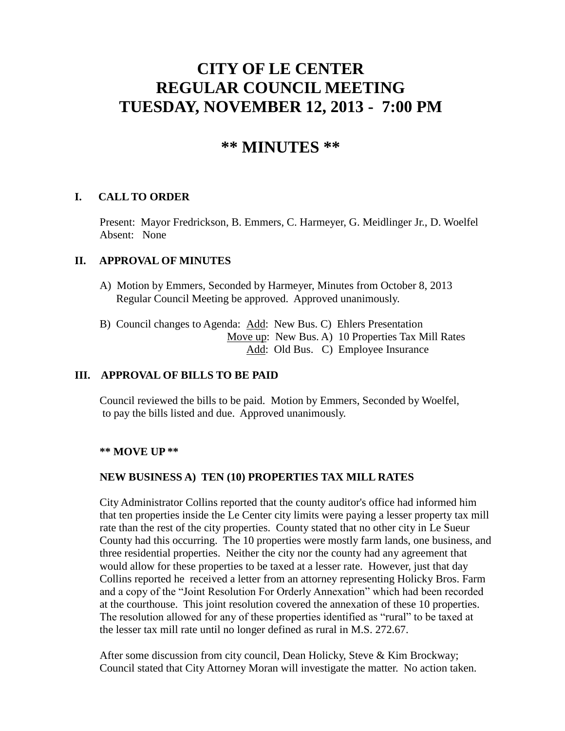# **CITY OF LE CENTER REGULAR COUNCIL MEETING TUESDAY, NOVEMBER 12, 2013 - 7:00 PM**

# **\*\* MINUTES \*\***

#### **I. CALL TO ORDER**

Present: Mayor Fredrickson, B. Emmers, C. Harmeyer, G. Meidlinger Jr., D. Woelfel Absent: None

## **II. APPROVAL OF MINUTES**

- A) Motion by Emmers, Seconded by Harmeyer, Minutes from October 8, 2013 Regular Council Meeting be approved. Approved unanimously.
- B) Council changes to Agenda: Add: New Bus. C) Ehlers Presentation Move up: New Bus. A) 10 Properties Tax Mill Rates Add: Old Bus. C) Employee Insurance

# **III. APPROVAL OF BILLS TO BE PAID**

Council reviewed the bills to be paid. Motion by Emmers, Seconded by Woelfel, to pay the bills listed and due. Approved unanimously.

#### **\*\* MOVE UP \*\***

# **NEW BUSINESS A) TEN (10) PROPERTIES TAX MILL RATES**

City Administrator Collins reported that the county auditor's office had informed him that ten properties inside the Le Center city limits were paying a lesser property tax mill rate than the rest of the city properties. County stated that no other city in Le Sueur County had this occurring. The 10 properties were mostly farm lands, one business, and three residential properties. Neither the city nor the county had any agreement that would allow for these properties to be taxed at a lesser rate. However, just that day Collins reported he received a letter from an attorney representing Holicky Bros. Farm and a copy of the "Joint Resolution For Orderly Annexation" which had been recorded at the courthouse. This joint resolution covered the annexation of these 10 properties. The resolution allowed for any of these properties identified as "rural" to be taxed at the lesser tax mill rate until no longer defined as rural in M.S. 272.67.

After some discussion from city council, Dean Holicky, Steve & Kim Brockway; Council stated that City Attorney Moran will investigate the matter. No action taken.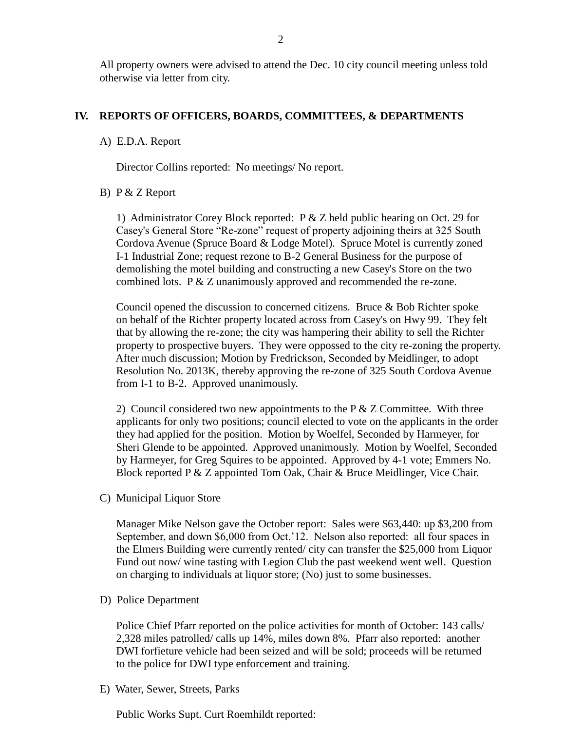All property owners were advised to attend the Dec. 10 city council meeting unless told otherwise via letter from city.

#### **IV. REPORTS OF OFFICERS, BOARDS, COMMITTEES, & DEPARTMENTS**

#### A) E.D.A. Report

Director Collins reported: No meetings/ No report.

#### B) P & Z Report

 1) Administrator Corey Block reported: P & Z held public hearing on Oct. 29 for Casey's General Store "Re-zone" request of property adjoining theirs at 325 South Cordova Avenue (Spruce Board & Lodge Motel). Spruce Motel is currently zoned I-1 Industrial Zone; request rezone to B-2 General Business for the purpose of demolishing the motel building and constructing a new Casey's Store on the two combined lots. P & Z unanimously approved and recommended the re-zone.

 Council opened the discussion to concerned citizens. Bruce & Bob Richter spoke on behalf of the Richter property located across from Casey's on Hwy 99. They felt that by allowing the re-zone; the city was hampering their ability to sell the Richter property to prospective buyers. They were oppossed to the city re-zoning the property. After much discussion; Motion by Fredrickson, Seconded by Meidlinger, to adopt Resolution No. 2013K, thereby approving the re-zone of 325 South Cordova Avenue from I-1 to B-2. Approved unanimously.

2) Council considered two new appointments to the  $P \& Z$  Committee. With three applicants for only two positions; council elected to vote on the applicants in the order they had applied for the position. Motion by Woelfel, Seconded by Harmeyer, for Sheri Glende to be appointed. Approved unanimously. Motion by Woelfel, Seconded by Harmeyer, for Greg Squires to be appointed. Approved by 4-1 vote; Emmers No. Block reported P & Z appointed Tom Oak, Chair & Bruce Meidlinger, Vice Chair.

C) Municipal Liquor Store

Manager Mike Nelson gave the October report: Sales were \$63,440: up \$3,200 from September, and down \$6,000 from Oct.'12. Nelson also reported: all four spaces in the Elmers Building were currently rented/ city can transfer the \$25,000 from Liquor Fund out now/ wine tasting with Legion Club the past weekend went well. Question on charging to individuals at liquor store; (No) just to some businesses.

#### D) Police Department

Police Chief Pfarr reported on the police activities for month of October: 143 calls/ 2,328 miles patrolled/ calls up 14%, miles down 8%. Pfarr also reported: another DWI forfieture vehicle had been seized and will be sold; proceeds will be returned to the police for DWI type enforcement and training.

E) Water, Sewer, Streets, Parks

Public Works Supt. Curt Roemhildt reported: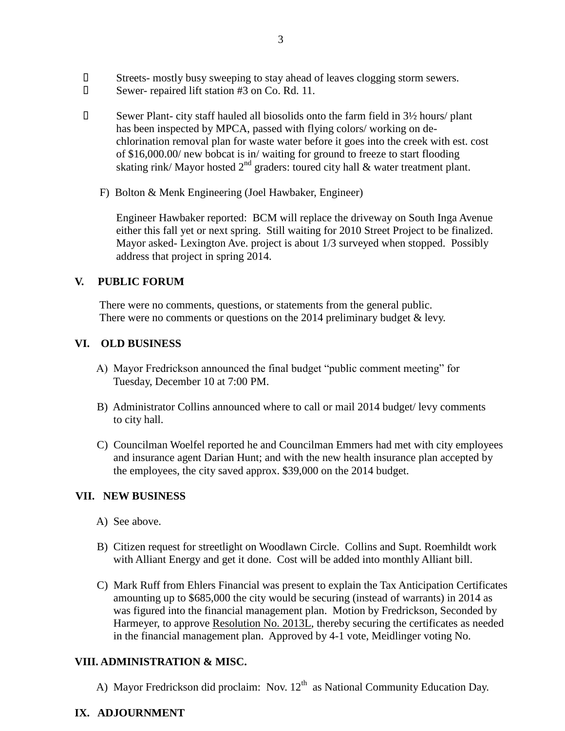- Streets- mostly busy sweeping to stay ahead of leaves clogging storm sewers.
- Sewer- repaired lift station #3 on Co. Rd. 11.
- $\Box$  Sewer Plant- city staff hauled all biosolids onto the farm field in  $3\frac{1}{2}$  hours/ plant has been inspected by MPCA, passed with flying colors/ working on de chlorination removal plan for waste water before it goes into the creek with est. cost of \$16,000.00/ new bobcat is in/ waiting for ground to freeze to start flooding skating rink/ Mayor hosted  $2<sup>nd</sup>$  graders: toured city hall & water treatment plant.
	- F) Bolton & Menk Engineering (Joel Hawbaker, Engineer)

 Engineer Hawbaker reported: BCM will replace the driveway on South Inga Avenue either this fall yet or next spring. Still waiting for 2010 Street Project to be finalized. Mayor asked- Lexington Ave. project is about 1/3 surveyed when stopped. Possibly address that project in spring 2014.

## **V. PUBLIC FORUM**

 There were no comments, questions, or statements from the general public. There were no comments or questions on the 2014 preliminary budget & levy.

# **VI. OLD BUSINESS**

- A) Mayor Fredrickson announced the final budget "public comment meeting" for Tuesday, December 10 at 7:00 PM.
- B) Administrator Collins announced where to call or mail 2014 budget/ levy comments to city hall.
- C) Councilman Woelfel reported he and Councilman Emmers had met with city employees and insurance agent Darian Hunt; and with the new health insurance plan accepted by the employees, the city saved approx. \$39,000 on the 2014 budget.

#### **VII. NEW BUSINESS**

- A) See above.
- B) Citizen request for streetlight on Woodlawn Circle. Collins and Supt. Roemhildt work with Alliant Energy and get it done. Cost will be added into monthly Alliant bill.
- C) Mark Ruff from Ehlers Financial was present to explain the Tax Anticipation Certificates amounting up to \$685,000 the city would be securing (instead of warrants) in 2014 as was figured into the financial management plan. Motion by Fredrickson, Seconded by Harmeyer, to approve Resolution No. 2013L, thereby securing the certificates as needed in the financial management plan. Approved by 4-1 vote, Meidlinger voting No.

#### **VIII. ADMINISTRATION & MISC.**

A) Mayor Fredrickson did proclaim: Nov.  $12<sup>th</sup>$  as National Community Education Day.

# **IX. ADJOURNMENT**